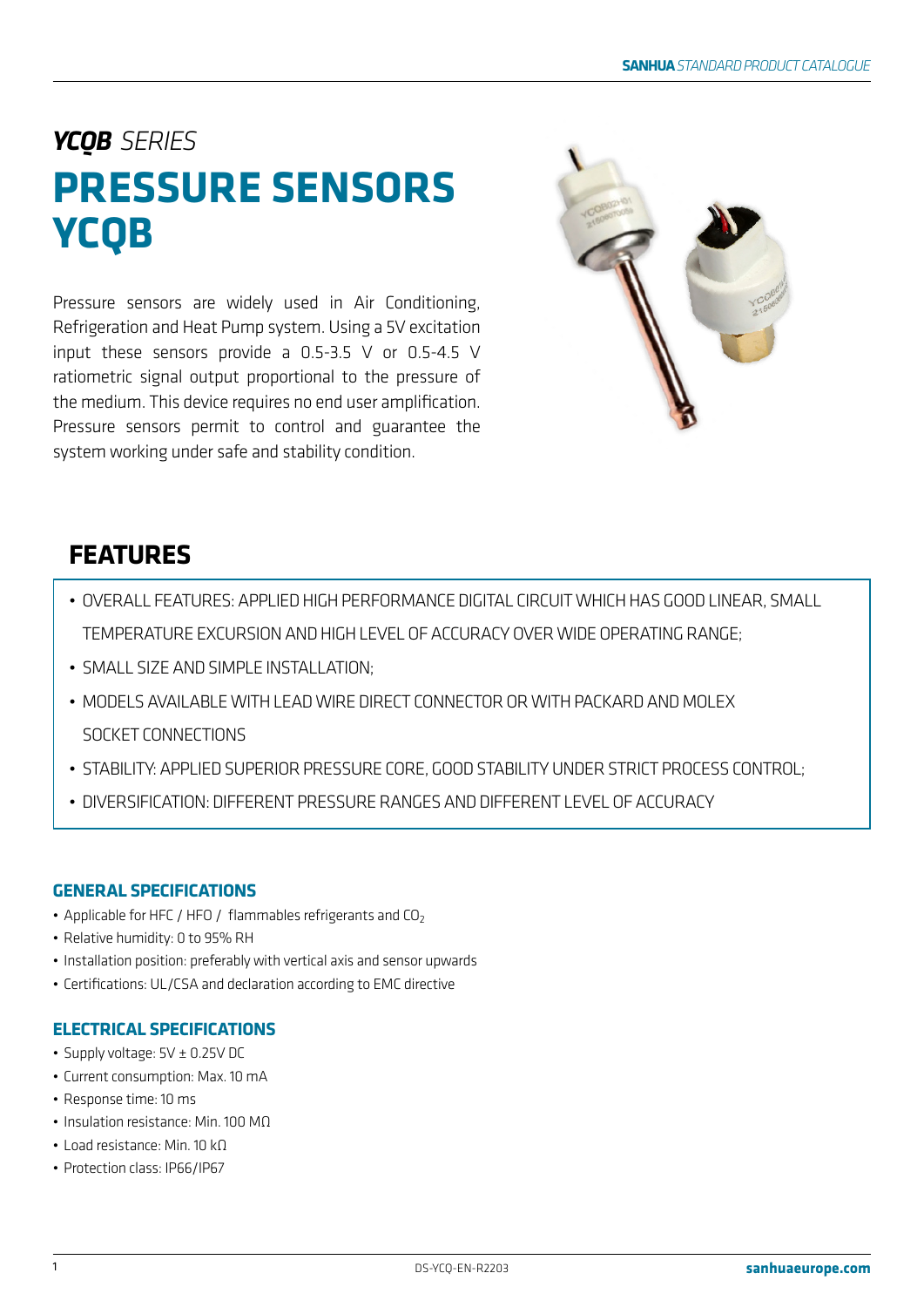# *YCQB SERIES* **PRESSURE SENSORS YCQB**

Pressure sensors are widely used in Air Conditioning, Refrigeration and Heat Pump system. Using a 5V excitation input these sensors provide a 0.5-3.5 V or 0.5-4.5 V ratiometric signal output proportional to the pressure of the medium. This device requires no end user amplification. Pressure sensors permit to control and guarantee the system working under safe and stability condition.



# **FEATURES**

- OVERALL FEATURES: APPLIED HIGH PERFORMANCE DIGITAL CIRCUIT WHICH HAS GOOD LINEAR, SMALL TEMPERATURE EXCURSION AND HIGH LEVEL OF ACCURACY OVER WIDE OPERATING RANGE;
- SMALL SIZE AND SIMPLE INSTALLATION;
- MODELS AVAILABLE WITH LEAD WIRE DIRECT CONNECTOR OR WITH PACKARD AND MOLEX SOCKET CONNECTIONS
- STABILITY: APPLIED SUPERIOR PRESSURE CORE, GOOD STABILITY UNDER STRICT PROCESS CONTROL;
- DIVERSIFICATION: DIFFERENT PRESSURE RANGES AND DIFFERENT LEVEL OF ACCURACY

# **GENERAL SPECIFICATIONS**

- Applicable for HFC / HFO / flammables refrigerants and  $CO<sub>2</sub>$
- Relative humidity: 0 to 95% RH
- Installation position: preferably with vertical axis and sensor upwards
- Certifications: UL/CSA and declaration according to EMC directive

# **ELECTRICAL SPECIFICATIONS**

- Supply voltage: 5V ± 0.25V DC
- Current consumption: Max. 10 mA
- Response time: 10 ms
- Insulation resistance: Min. 100 MΩ
- Load resistance: Min. 10 kΩ
- Protection class: IP66/IP67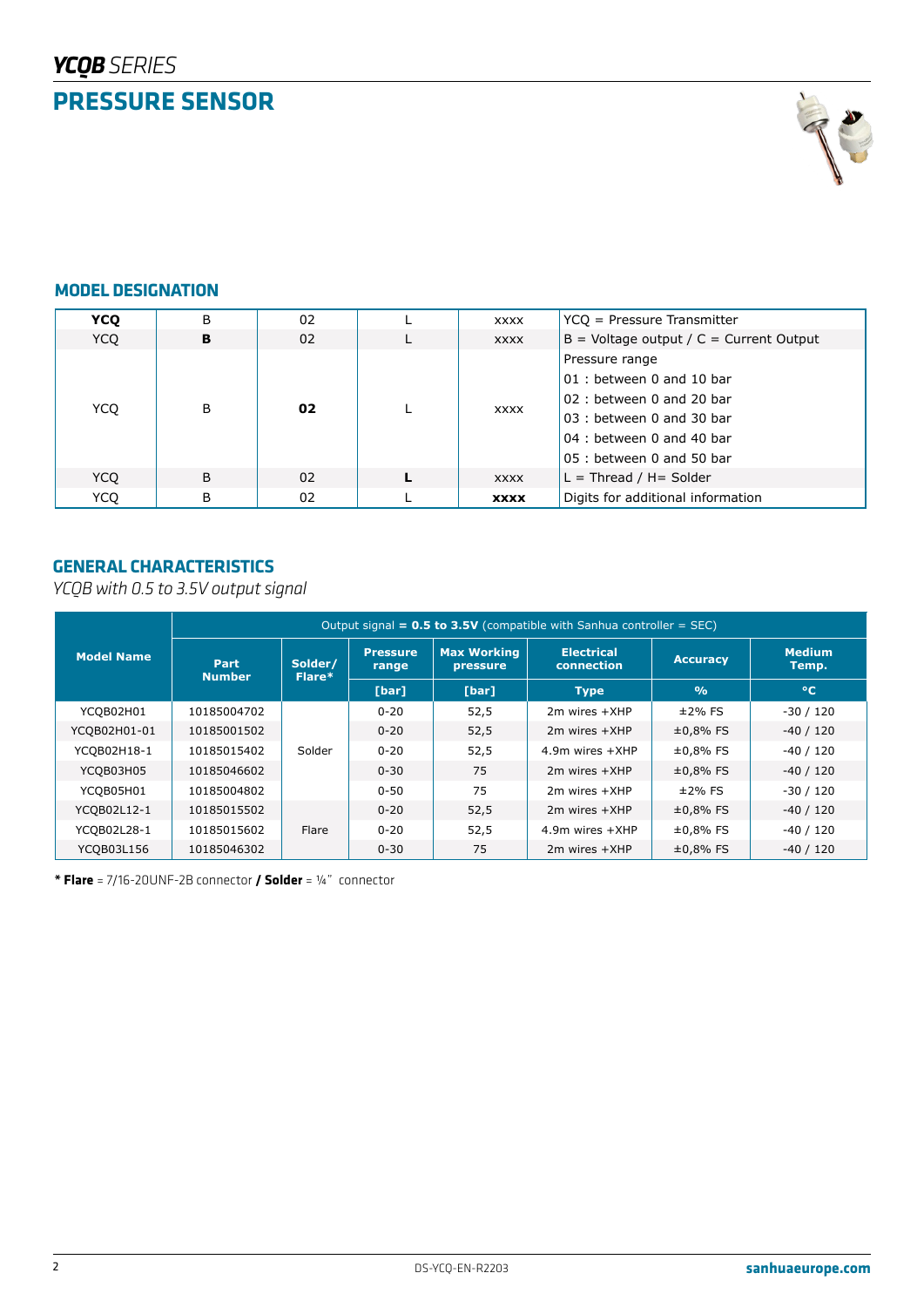

# **MODEL DESIGNATION**

| <b>YCO</b> | B | 02 |  | <b>XXXX</b> | $YCQ =$ Pressure Transmitter              |
|------------|---|----|--|-------------|-------------------------------------------|
| YCO        | в | 02 |  | <b>XXXX</b> | $B =$ Voltage output / C = Current Output |
|            | B | 02 |  |             | Pressure range                            |
|            |   |    |  | <b>XXXX</b> | 01 : between 0 and 10 bar                 |
|            |   |    |  |             | 02: between 0 and 20 bar                  |
| YCO        |   |    |  |             | 03 : between 0 and 30 bar                 |
|            |   |    |  |             | 04 : between 0 and 40 bar                 |
|            |   |    |  |             | $05:$ between 0 and 50 bar                |
| YCO        | B | 02 |  | <b>XXXX</b> | $L =$ Thread / H= Solder                  |
| <b>YCO</b> | B | 02 |  | <b>XXXX</b> | Digits for additional information         |

# **GENERAL CHARACTERISTICS**

*YCQB with 0.5 to 3.5V output signal*

|                   | Output signal = $0.5$ to $3.5V$ (compatible with Sanhua controller = SEC) |                   |                          |                                |                                 |                 |                        |  |
|-------------------|---------------------------------------------------------------------------|-------------------|--------------------------|--------------------------------|---------------------------------|-----------------|------------------------|--|
| <b>Model Name</b> | Part<br><b>Number</b>                                                     | Solder/<br>Flare* | <b>Pressure</b><br>range | <b>Max Working</b><br>pressure | <b>Electrical</b><br>connection | <b>Accuracy</b> | <b>Medium</b><br>Temp. |  |
|                   |                                                                           |                   | [bar]                    | [bar]                          | <b>Type</b>                     | O <sub>0</sub>  | $^{\circ}$ C           |  |
| YCQB02H01         | 10185004702                                                               |                   | $0 - 20$                 | 52,5                           | $2m$ wires $+XHP$               | $±2\%$ FS       | $-30/120$              |  |
| YCQB02H01-01      | 10185001502                                                               |                   | $0 - 20$                 | 52,5                           | $2m$ wires $+XHP$               | $±0,8%$ FS      | $-40/120$              |  |
| YCQB02H18-1       | 10185015402                                                               | Solder            | $0 - 20$                 | 52,5                           | 4.9m wires +XHP                 | $±0,8%$ FS      | $-40/120$              |  |
| YCQB03H05         | 10185046602                                                               |                   | $0 - 30$                 | 75                             | $2m$ wires $+XHP$               | $±0,8%$ FS      | $-40/120$              |  |
| YCOB05H01         | 10185004802                                                               |                   | $0 - 50$                 | 75                             | $2m$ wires $+XHP$               | $±2%$ FS        | $-30/120$              |  |
| YCQB02L12-1       | 10185015502                                                               |                   | $0 - 20$                 | 52,5                           | $2m$ wires $+XHP$               | $±0,8%$ FS      | $-40/120$              |  |
| YCQB02L28-1       | 10185015602                                                               | Flare             | $0 - 20$                 | 52,5                           | $4.9m$ wires $+XHP$             | $±0,8%$ FS      | $-40/120$              |  |
| YCQB03L156        | 10185046302                                                               |                   | $0 - 30$                 | 75                             | $2m$ wires $+XHP$               | $±0,8%$ FS      | $-40/120$              |  |

**\* Flare** = 7/16-20UNF-2B connector **/ Solder** = ¼" connector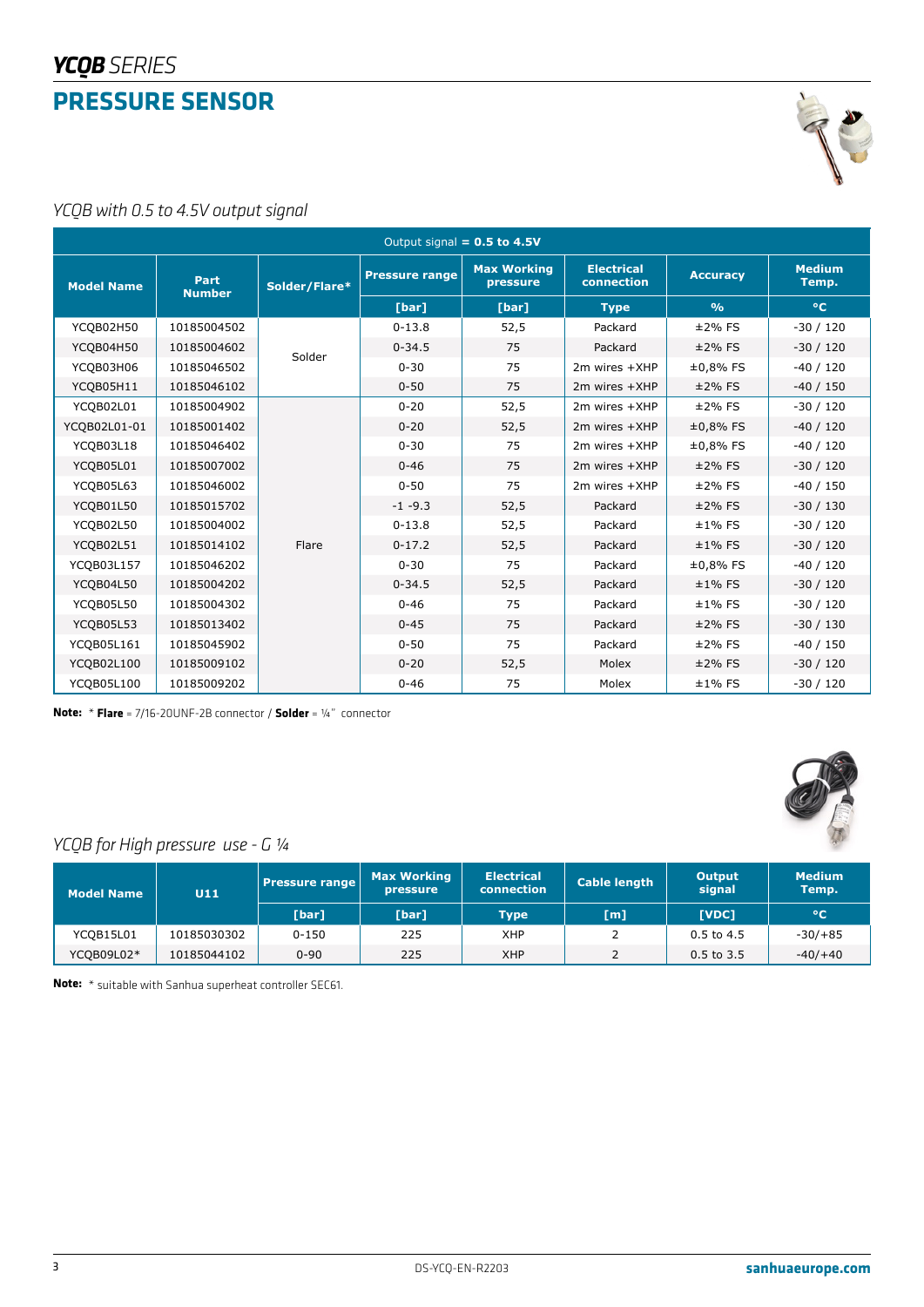

*YCQB with 0.5 to 4.5V output signal*

|                   | Output signal $= 0.5$ to 4.5V |               |                       |                                |                                 |                 |                        |  |  |  |
|-------------------|-------------------------------|---------------|-----------------------|--------------------------------|---------------------------------|-----------------|------------------------|--|--|--|
| <b>Model Name</b> | Part<br><b>Number</b>         | Solder/Flare* | <b>Pressure range</b> | <b>Max Working</b><br>pressure | <b>Electrical</b><br>connection | <b>Accuracy</b> | <b>Medium</b><br>Temp. |  |  |  |
|                   |                               |               | [bar]                 | [bar]                          | <b>Type</b>                     | $\frac{0}{0}$   | $^{\circ}$ C           |  |  |  |
| YCQB02H50         | 10185004502                   |               | $0 - 13.8$            | 52,5                           | Packard                         | $±2\%$ FS       | $-30/120$              |  |  |  |
| YCQB04H50         | 10185004602                   | Solder        | $0 - 34.5$            | 75                             | Packard                         | $±2\%$ FS       | $-30/120$              |  |  |  |
| YCQB03H06         | 10185046502                   |               | $0 - 30$              | 75                             | $2m$ wires $+XHP$               | $±0,8%$ FS      | $-40/120$              |  |  |  |
| YCQB05H11         | 10185046102                   |               | $0 - 50$              | 75                             | 2m wires +XHP                   | $±2\%$ FS       | $-40/150$              |  |  |  |
| YCQB02L01         | 10185004902                   |               | $0 - 20$              | 52,5                           | $2m$ wires $+XHP$               | $±2\%$ FS       | $-30/120$              |  |  |  |
| YCQB02L01-01      | 10185001402                   |               | $0 - 20$              | 52,5                           | 2m wires +XHP                   | $±0,8%$ FS      | $-40/120$              |  |  |  |
| YCQB03L18         | 10185046402                   |               | $0 - 30$              | 75                             | $2m$ wires $+XHP$               | $±0,8%$ FS      | $-40/120$              |  |  |  |
| YCQB05L01         | 10185007002                   |               | $0 - 46$              | 75                             | 2m wires +XHP                   | $±2\%$ FS       | $-30/120$              |  |  |  |
| YCQB05L63         | 10185046002                   |               | $0 - 50$              | 75                             | 2m wires +XHP                   | $±2\%$ FS       | $-40/150$              |  |  |  |
| YCQB01L50         | 10185015702                   |               | $-1 - 9.3$            | 52,5                           | Packard                         | $±2\%$ FS       | $-30/130$              |  |  |  |
| YCQB02L50         | 10185004002                   |               | $0 - 13.8$            | 52,5                           | Packard                         | $±1\%$ FS       | $-30/120$              |  |  |  |
| YCQB02L51         | 10185014102                   | Flare         | $0 - 17.2$            | 52,5                           | Packard                         | $±1\%$ FS       | $-30/120$              |  |  |  |
| YCQB03L157        | 10185046202                   |               | $0 - 30$              | 75                             | Packard                         | $±0,8%$ FS      | $-40/120$              |  |  |  |
| YCQB04L50         | 10185004202                   |               | $0 - 34.5$            | 52,5                           | Packard                         | $±1\%$ FS       | $-30/120$              |  |  |  |
| YCQB05L50         | 10185004302                   |               | $0 - 46$              | 75                             | Packard                         | $±1\%$ FS       | $-30/120$              |  |  |  |
| YCQB05L53         | 10185013402                   |               | $0 - 45$              | 75                             | Packard                         | $±2\%$ FS       | $-30/130$              |  |  |  |
| YCQB05L161        | 10185045902                   |               | $0 - 50$              | 75                             | Packard                         | $±2\%$ FS       | $-40/150$              |  |  |  |
| YCQB02L100        | 10185009102                   |               | $0 - 20$              | 52,5                           | Molex                           | $±2\%$ FS       | $-30/120$              |  |  |  |
| YCQB05L100        | 10185009202                   |               | $0 - 46$              | 75                             | Molex                           | $±1\%$ FS       | $-30/120$              |  |  |  |

**Note:**  \* **Flare** = 7/16-20UNF-2B connector / **Solder** = ¼" connector



# *YCQB for High pressure use - G ¼*

| <b>Model Name</b> | U11         | <b>Pressure range</b> | <b>Max Working</b><br>pressure | <b>Electrical</b><br>connection | <b>Cable length</b> | <b>Output</b><br>signal | <b>Medium</b><br>Temp. |
|-------------------|-------------|-----------------------|--------------------------------|---------------------------------|---------------------|-------------------------|------------------------|
|                   |             | [bar]                 | [bar]                          | <b>Type</b>                     | [m]                 | <b>TVDC1</b>            | $\circ$ C              |
| YCQB15L01         | 10185030302 | $0 - 150$             | 225                            | XHP                             |                     | $0.5$ to 4.5            | $-30/+85$              |
| YCQB09L02*        | 10185044102 | $0 - 90$              | 225                            | <b>XHP</b>                      |                     | $0.5$ to 3.5            | $-40/+40$              |

**Note:**  \* suitable with Sanhua superheat controller SEC61.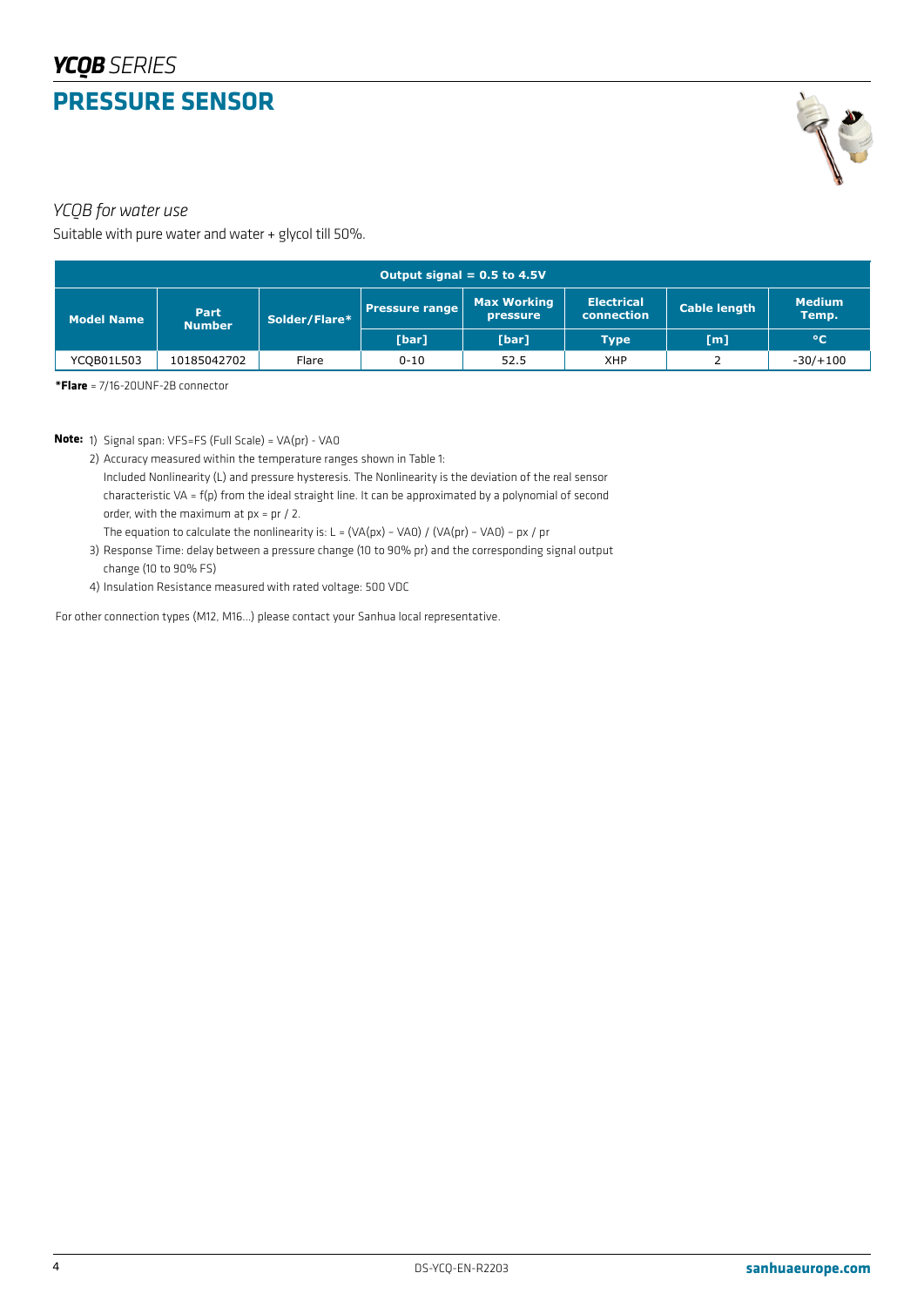

#### *YCQB for water use*

Suitable with pure water and water + glycol till 50%.

| Output signal = $0.5$ to $4.5V$ |                       |               |                                                         |       |                                        |                     |                        |  |
|---------------------------------|-----------------------|---------------|---------------------------------------------------------|-------|----------------------------------------|---------------------|------------------------|--|
| <b>Model Name</b>               | Part<br><b>Number</b> | Solder/Flare* | <b>Max Working</b><br><b>Pressure range</b><br>pressure |       | <b>Electrical</b><br><b>connection</b> | <b>Cable length</b> | <b>Medium</b><br>Temp. |  |
|                                 |                       |               | [bar]                                                   | [bar] | <b>Type</b>                            | [m]                 | $^{\circ}$ C           |  |
| YCQB01L503                      | 10185042702           | Flare         | $0 - 10$                                                | 52.5  | <b>XHP</b>                             |                     | $-30/+100$             |  |

**\*Flare** = 7/16-20UNF-2B connector

**Note:**  1) Signal span: VFS=FS (Full Scale) = VA(pr) - VA0

- 2) Accuracy measured within the temperature ranges shown in Table 1:
	- Included Nonlinearity (L) and pressure hysteresis. The Nonlinearity is the deviation of the real sensor characteristic VA = f(p) from the ideal straight line. It can be approximated by a polynomial of second order, with the maximum at px = pr / 2.

The equation to calculate the nonlinearity is:  $L = (VA(px) - VAO) / (VA(pr) - VAO) - px / pr$ 

- 3) Response Time: delay between a pressure change (10 to 90% pr) and the corresponding signal output change (10 to 90% FS)
- 4) Insulation Resistance measured with rated voltage: 500 VDC

For other connection types (M12, M16…) please contact your Sanhua local representative.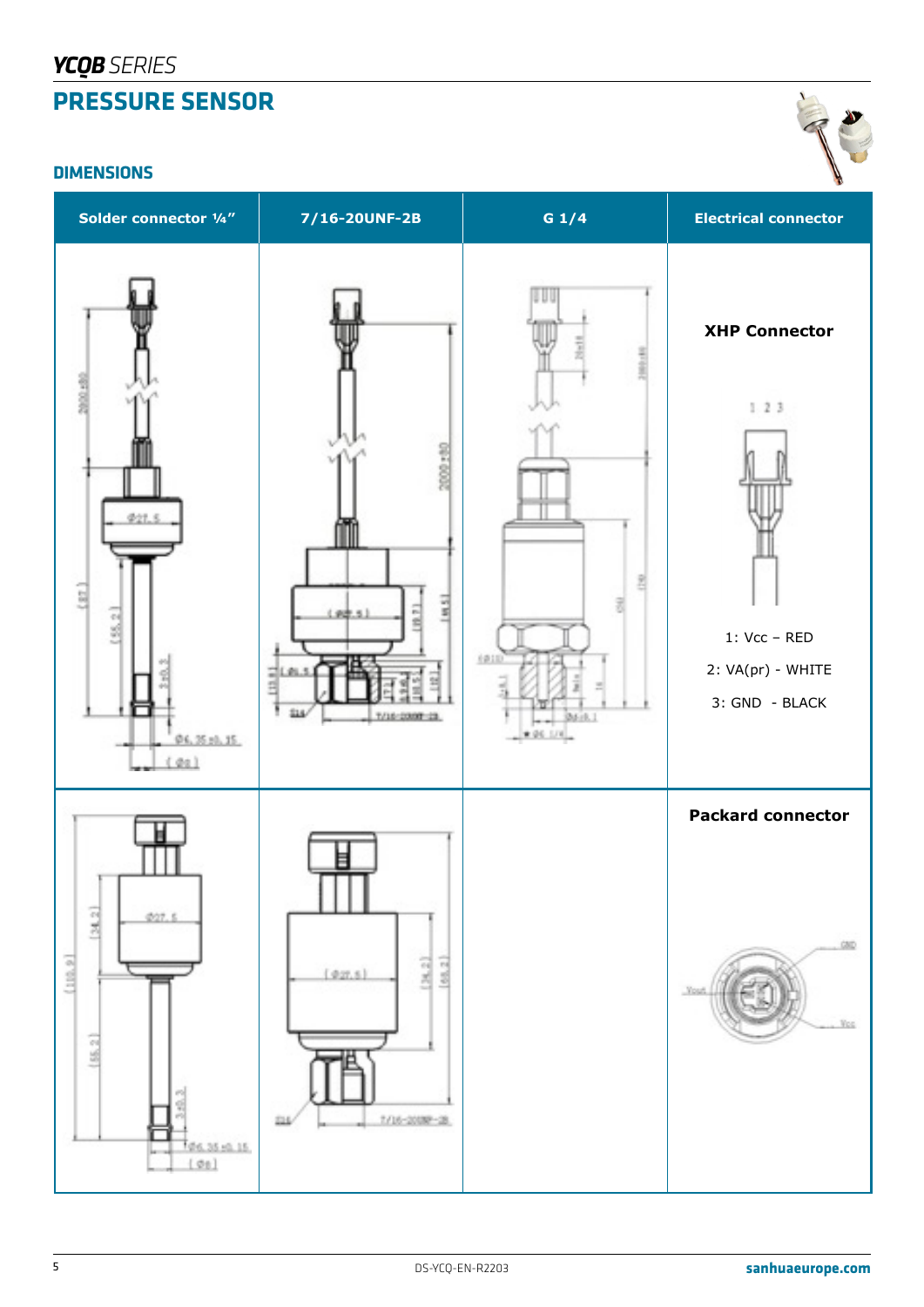# *YCQBSERIES* **PRESSURE SENSOR**

#### **DIMENSIONS**



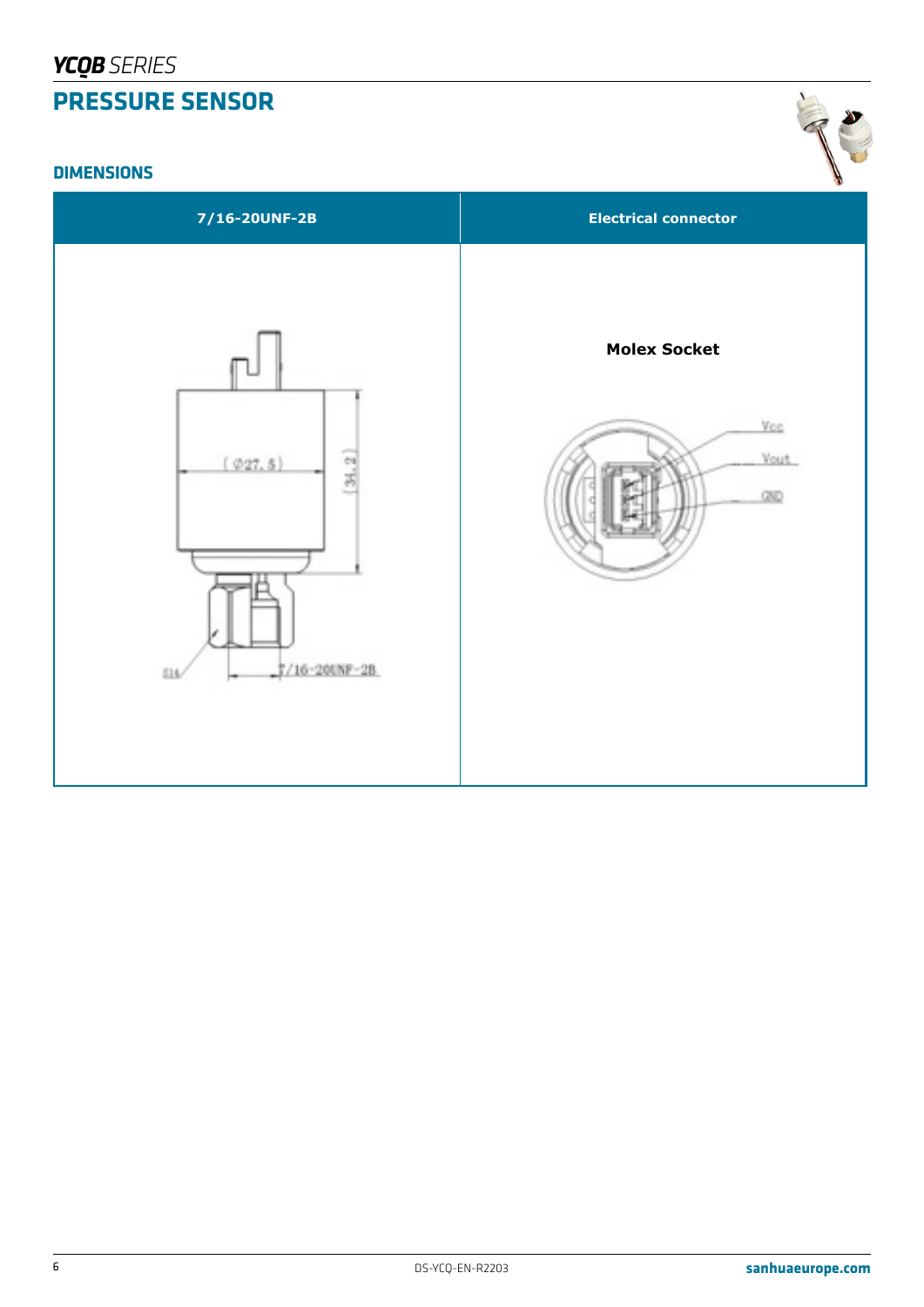#### **DIMENSIONS**

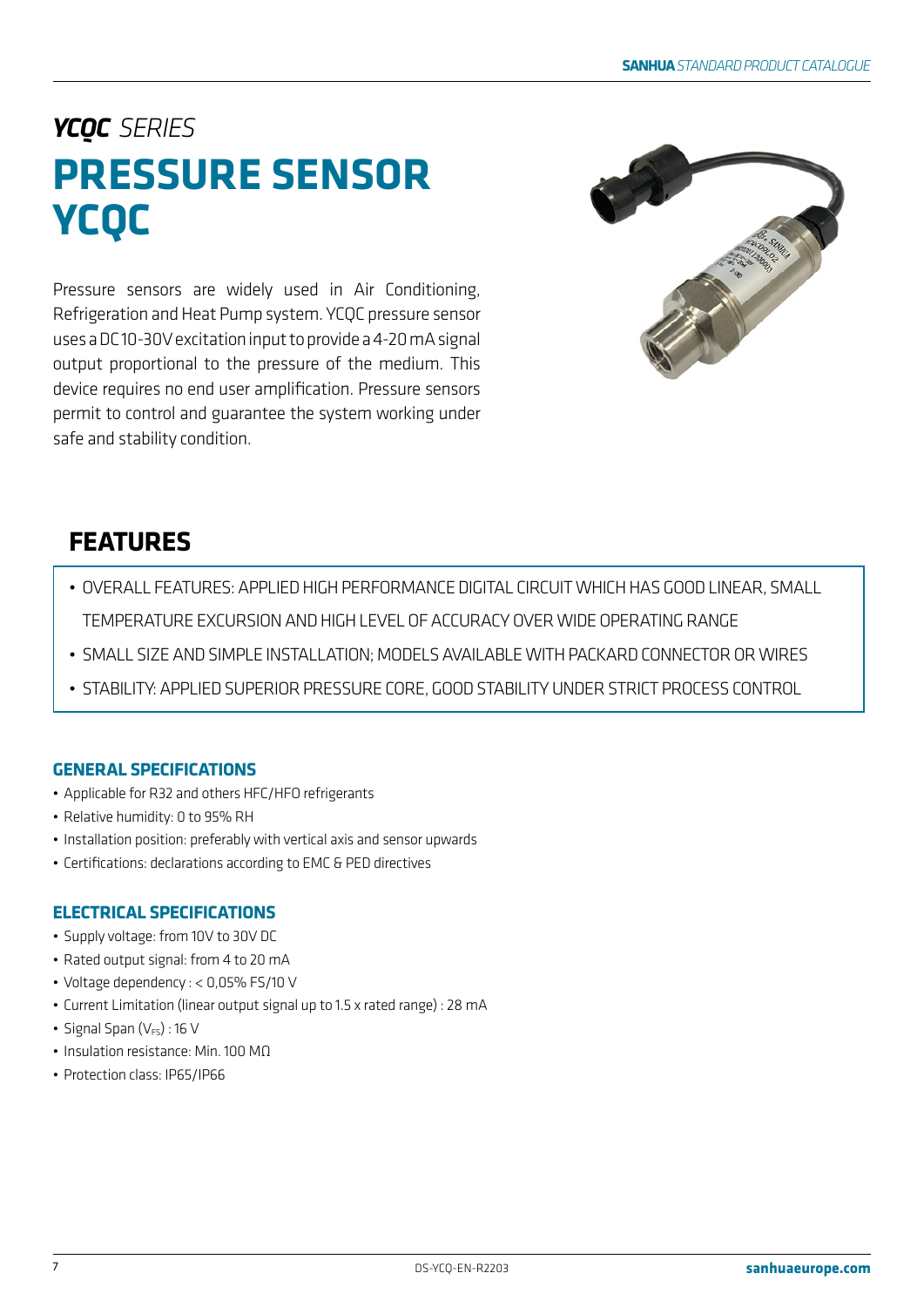# *YCQC SERIES* **PRESSURE SENSOR YCQC**

Pressure sensors are widely used in Air Conditioning, Refrigeration and Heat Pump system. YCQC pressure sensor uses a DC 10-30V excitation input to provide a 4-20 mA signal output proportional to the pressure of the medium. This device requires no end user amplification. Pressure sensors permit to control and guarantee the system working under safe and stability condition.



# **FEATURES**

- OVERALL FEATURES: APPLIED HIGH PERFORMANCE DIGITAL CIRCUIT WHICH HAS GOOD LINEAR, SMALL TEMPERATURE EXCURSION AND HIGH LEVEL OF ACCURACY OVER WIDE OPERATING RANGE
- SMALL SIZE AND SIMPLE INSTALLATION; MODELS AVAILABLE WITH PACKARD CONNECTOR OR WIRES
- STABILITY: APPLIED SUPERIOR PRESSURE CORE, GOOD STABILITY UNDER STRICT PROCESS CONTROL

# **GENERAL SPECIFICATIONS**

- Applicable for R32 and others HFC/HFO refrigerants
- Relative humidity: 0 to 95% RH
- Installation position: preferably with vertical axis and sensor upwards
- Certifications: declarations according to EMC & PED directives

# **ELECTRICAL SPECIFICATIONS**

- Supply voltage: from 10V to 30V DC
- Rated output signal: from 4 to 20 mA
- Voltage dependency : < 0,05% FS/10 V
- Current Limitation (linear output signal up to 1.5 x rated range) : 28 mA
- Signal Span  $(V_{FS})$ : 16 V
- Insulation resistance: Min. 100 MΩ
- Protection class: IP65/IP66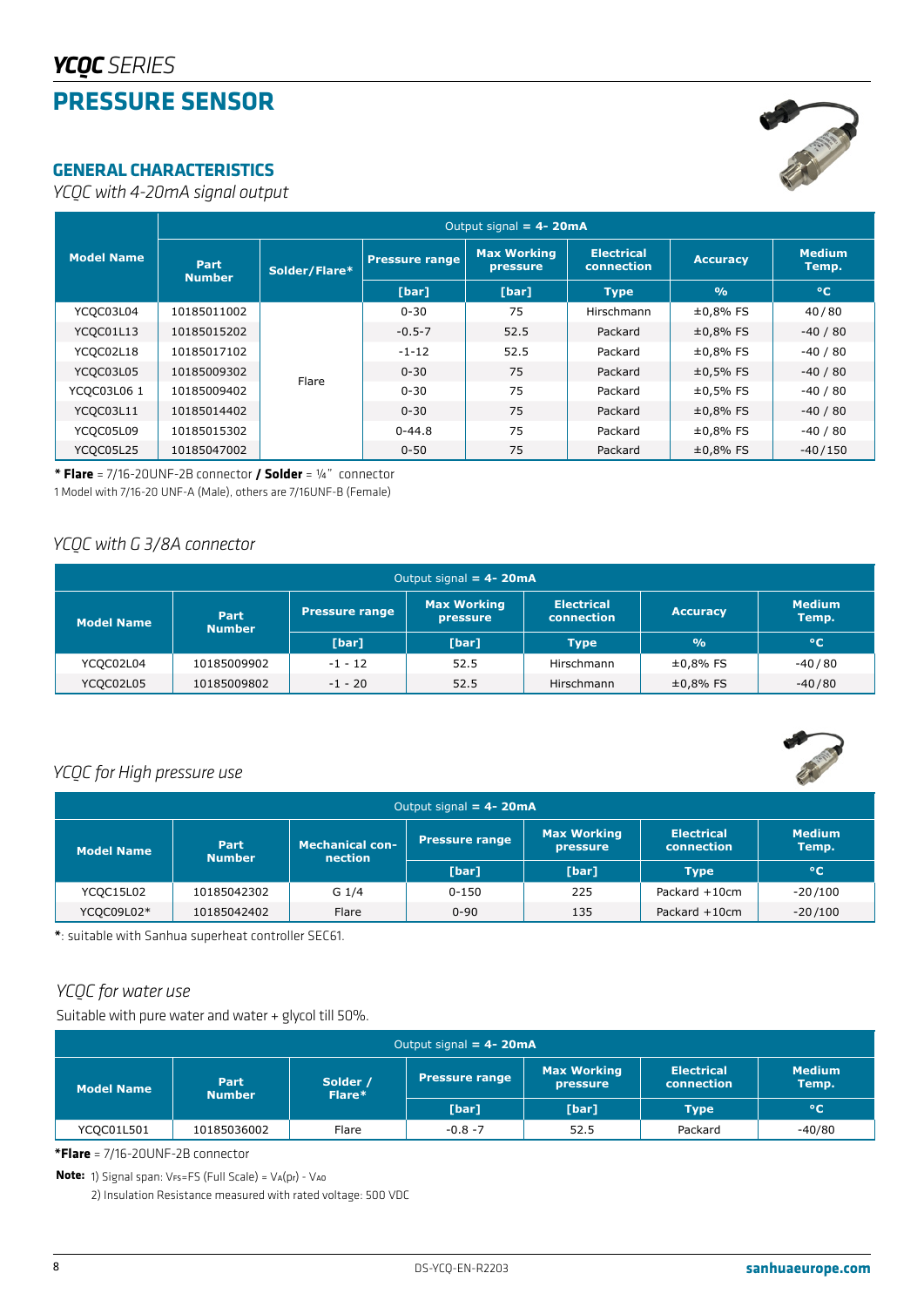# **PRESSURE SENSOR**



*YCQC with 4-20mA signal output*

|                   | Output signal = $4 - 20mA$   |               |                       |                                |                                        |                 |                        |  |  |  |
|-------------------|------------------------------|---------------|-----------------------|--------------------------------|----------------------------------------|-----------------|------------------------|--|--|--|
| <b>Model Name</b> | <b>Part</b><br><b>Number</b> | Solder/Flare* | <b>Pressure range</b> | <b>Max Working</b><br>pressure | <b>Electrical</b><br><b>connection</b> | <b>Accuracy</b> | <b>Medium</b><br>Temp. |  |  |  |
|                   |                              |               | [bar]                 | [bar]                          | Type,                                  | O <sub>0</sub>  | $^{\circ}$ C           |  |  |  |
| YCQC03L04         | 10185011002                  |               | $0 - 30$              | 75                             | Hirschmann                             | $±0,8%$ FS      | 40/80                  |  |  |  |
| YCQC01L13         | 10185015202                  |               | $-0.5-7$              | 52.5                           | Packard                                | $±0,8%$ FS      | $-40/80$               |  |  |  |
| YCQC02L18         | 10185017102                  |               | $-1-12$               | 52.5                           | Packard                                | $±0,8%$ FS      | $-40/80$               |  |  |  |
| YCQC03L05         | 10185009302                  | Flare         | $0 - 30$              | 75                             | Packard                                | $±0,5%$ FS      | $-40/80$               |  |  |  |
| YCQC03L06 1       | 10185009402                  |               | $0 - 30$              | 75                             | Packard                                | $±0.5%$ FS      | $-40/80$               |  |  |  |
| YCQC03L11         | 10185014402                  |               | $0 - 30$              | 75                             | Packard                                | $±0,8%$ FS      | $-40/80$               |  |  |  |
| YCQC05L09         | 10185015302                  |               | $0 - 44.8$            | 75                             | Packard                                | $±0,8%$ FS      | $-40/80$               |  |  |  |
| YCQC05L25         | 10185047002                  |               | $0 - 50$              | 75                             | Packard                                | $±0,8%$ FS      | $-40/150$              |  |  |  |

**\* Flare** = 7/16-20UNF-2B connector **/ Solder** = ¼" connector

1 Model with 7/16-20 UNF-A (Male), others are 7/16UNF-B (Female)

# *YCQC with G 3/8A connector*

| Output signal = $4 - 20mA$ |                       |                                                                                                   |       |             |                 |                        |  |  |
|----------------------------|-----------------------|---------------------------------------------------------------------------------------------------|-------|-------------|-----------------|------------------------|--|--|
| <b>Model Name</b>          | Part<br><b>Number</b> | <b>Max Working</b><br><b>Electrical</b><br><b>Pressure range</b><br><b>connection</b><br>pressure |       |             | <b>Accuracy</b> | <b>Medium</b><br>Temp. |  |  |
|                            |                       | [bar]                                                                                             | [bar] | <b>Type</b> | O <sub>0</sub>  | $^{\circ}$ C           |  |  |
| YCQC02L04                  | 10185009902           | $-1 - 12$                                                                                         | 52.5  | Hirschmann  | $±0,8%$ FS      | $-40/80$               |  |  |
| YCQC02L05                  | 10185009802           | $-1 - 20$                                                                                         | 52.5  | Hirschmann  | $±0,8%$ FS      | $-40/80$               |  |  |



# *YCQC for High pressure use*

| Output signal = $4 - 20mA$ |                       |                                   |                |                                |                                 |                        |  |  |
|----------------------------|-----------------------|-----------------------------------|----------------|--------------------------------|---------------------------------|------------------------|--|--|
| <b>Model Name</b>          | Part<br><b>Number</b> | <b>Mechanical con-</b><br>nection | Pressure range | <b>Max Working</b><br>pressure | <b>Electrical</b><br>connection | <b>Medium</b><br>Temp. |  |  |
|                            |                       |                                   | [bar]          | [bar]                          | <b>Type</b>                     | $^{\circ}$ C           |  |  |
| YCQC15L02                  | 10185042302           | G 1/4                             | 0-150          | 225                            | Packard $+10$ cm                | $-20/100$              |  |  |
| YCQC09L02*                 | 10185042402           | Flare                             | $0 - 90$       | 135                            | Packard $+10$ cm                | $-20/100$              |  |  |

**\***: suitable with Sanhua superheat controller SEC61.

# *YCQC for water use*

Suitable with pure water and water + glycol till 50%.

| Output signal = $4 - 20mA$ |                       |                    |                |                                |                                                                  |           |  |
|----------------------------|-----------------------|--------------------|----------------|--------------------------------|------------------------------------------------------------------|-----------|--|
| <b>Model Name</b>          | Part<br><b>Number</b> | Solder /<br>Flare* | Pressure range | <b>Max Working</b><br>pressure | <b>Electrical</b><br><b>Medium</b><br><b>connection</b><br>Temp. |           |  |
|                            |                       |                    | [bar]          | [bar]                          | Type                                                             | $\circ$ C |  |
| YCQC01L501                 | 10185036002           | Flare              | $-0.8 - 7$     | 52.5                           | Packard                                                          | $-40/80$  |  |

**\*Flare** = 7/16-20UNF-2B connector

**Note:** 1) Signal span: VFS=FS (Full Scale) = VA(pr) - VAO

2) Insulation Resistance measured with rated voltage: 500 VDC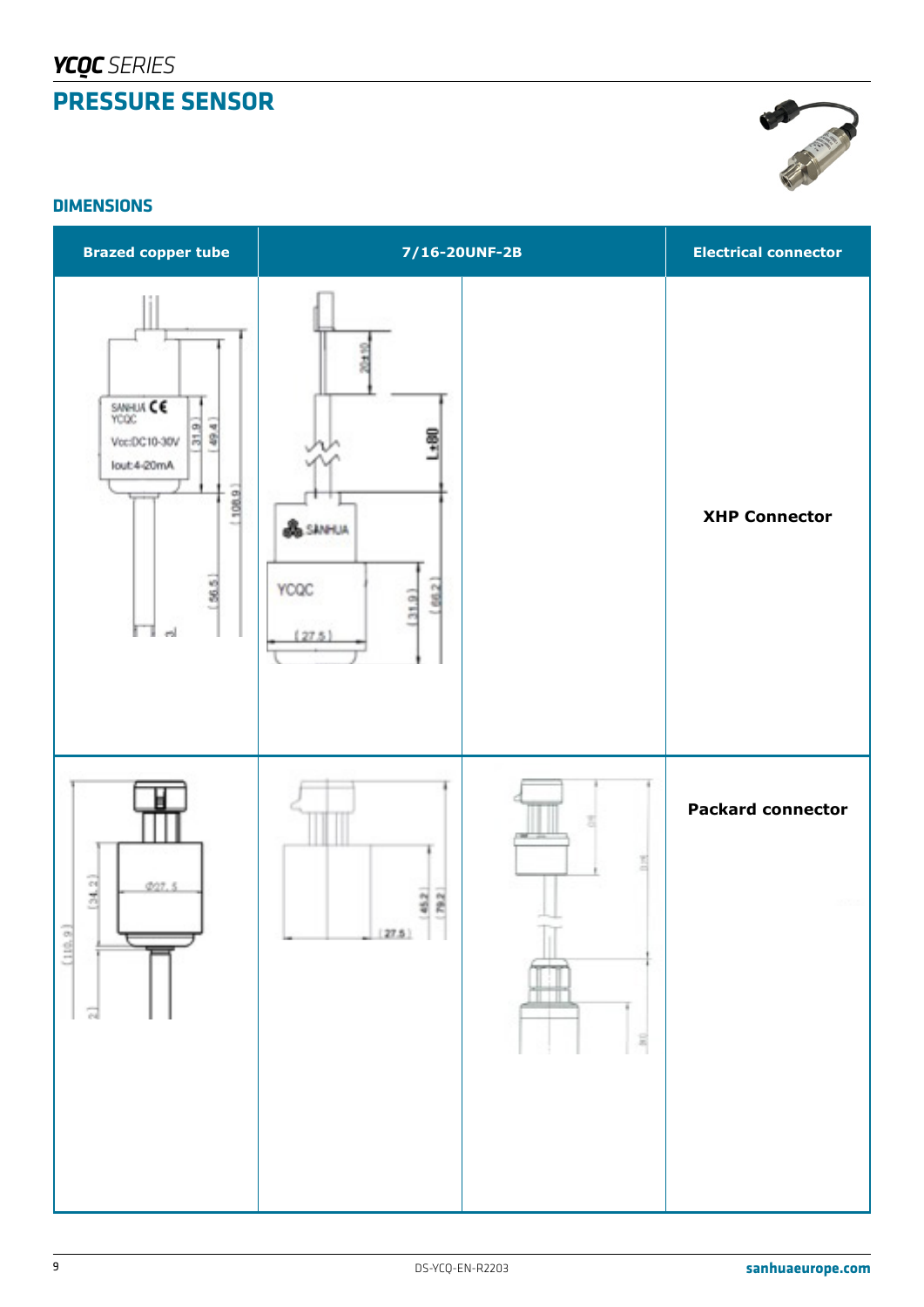

### **DIMENSIONS**

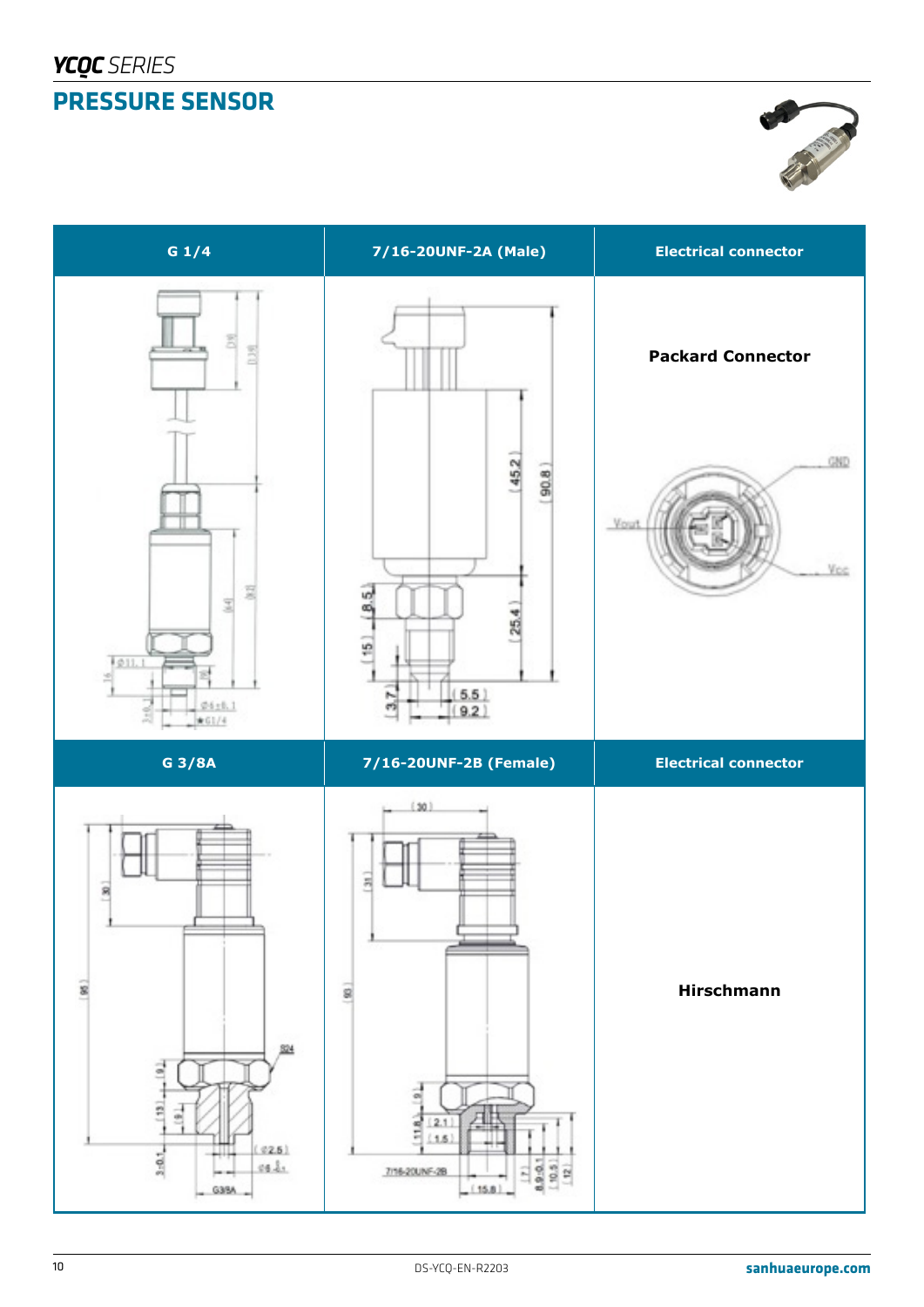

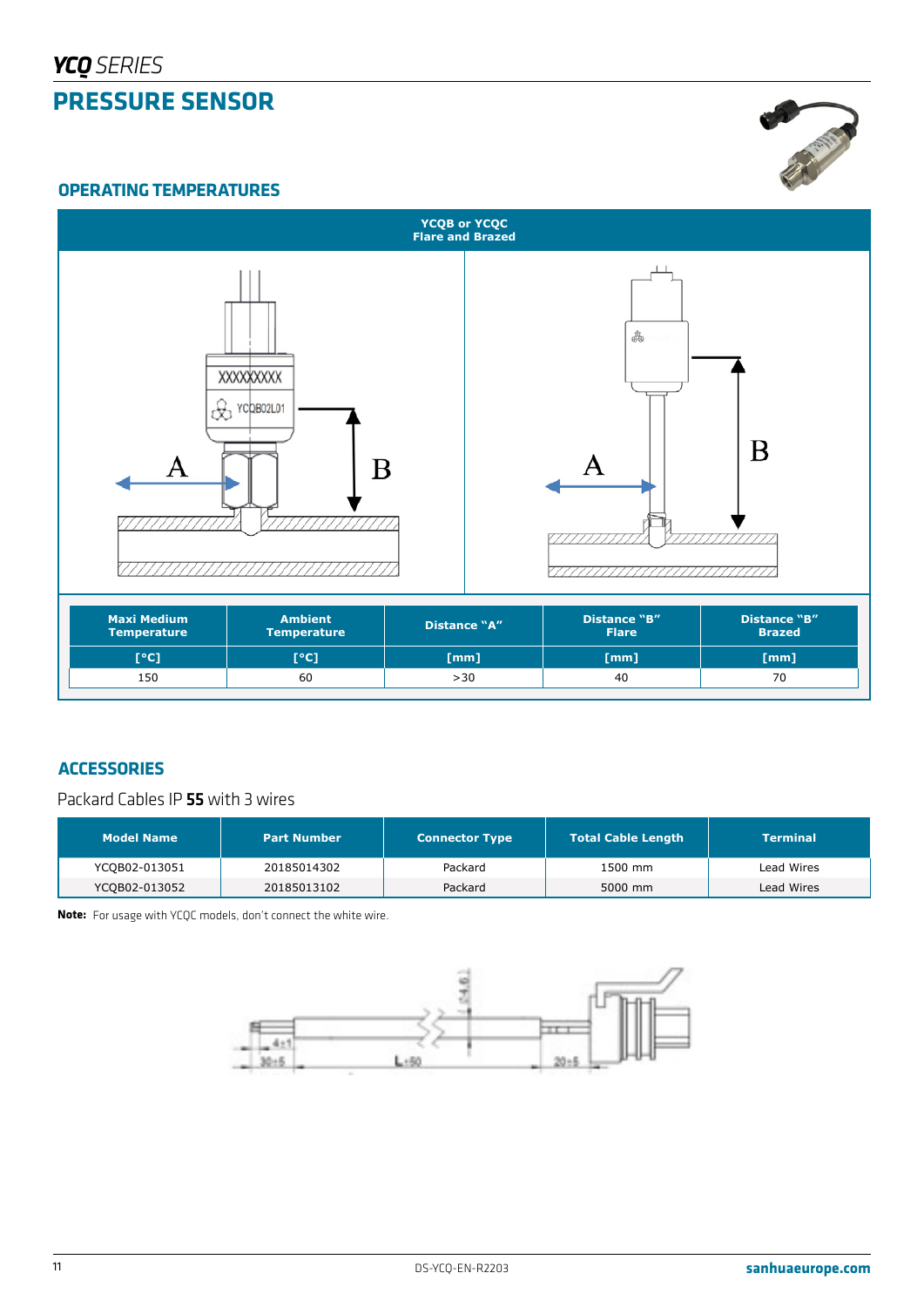

#### **OPERATING TEMPERATURES**



| <b>Maxi Medium</b><br><b>Temperature</b> | <b>Ambient</b><br>Distance "A"<br><b>Temperature</b> |                      | <b>Distance "B"</b><br><b>Flare</b> | <b>Distance "B"</b><br><b>Brazed</b> |  |
|------------------------------------------|------------------------------------------------------|----------------------|-------------------------------------|--------------------------------------|--|
| [°C]                                     | [°C]                                                 | $\lceil$ mm $\rceil$ | [mm]                                | [mm]                                 |  |
| 150                                      | 60                                                   | >30                  | 40                                  | 70                                   |  |

# **ACCESSORIES**

Packard Cables IP 55 with 3 wires

| <b>Model Name</b> | <b>Part Number</b> | <b>Connector Type</b> | <b>Total Cable Length</b> | <b>Terminal</b> |
|-------------------|--------------------|-----------------------|---------------------------|-----------------|
| YCQB02-013051     | 20185014302        | Packard               | 1500 mm                   | Lead Wires      |
| YCQB02-013052     | 20185013102        | Packard               | 5000 mm                   | Lead Wires      |

**Note:** For usage with YCQC models, don't connect the white wire.